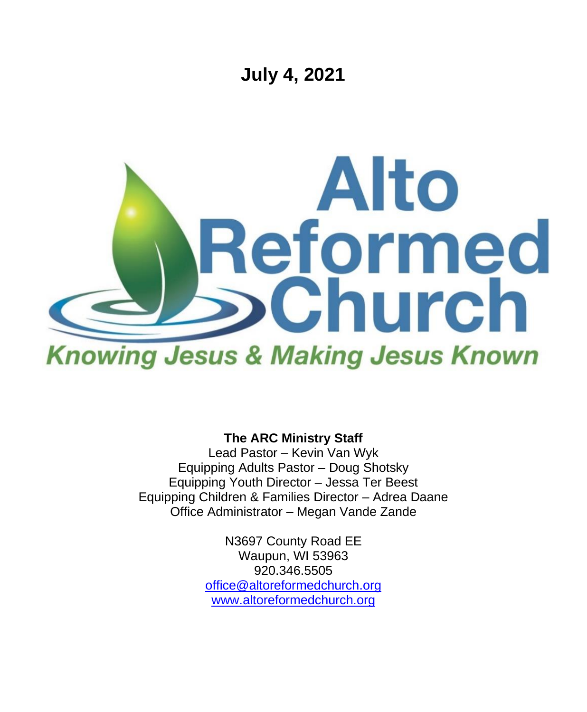

**The ARC Ministry Staff**

Lead Pastor – Kevin Van Wyk Equipping Adults Pastor – Doug Shotsky Equipping Youth Director – Jessa Ter Beest Equipping Children & Families Director – Adrea Daane Office Administrator – Megan Vande Zande

> N3697 County Road EE Waupun, WI 53963 920.346.5505 [office@altoreformedchurch.org](mailto:office@altoreformedchurch.org) [www.altoreformedchurch.org](http://www.altoreformedchurch.org/)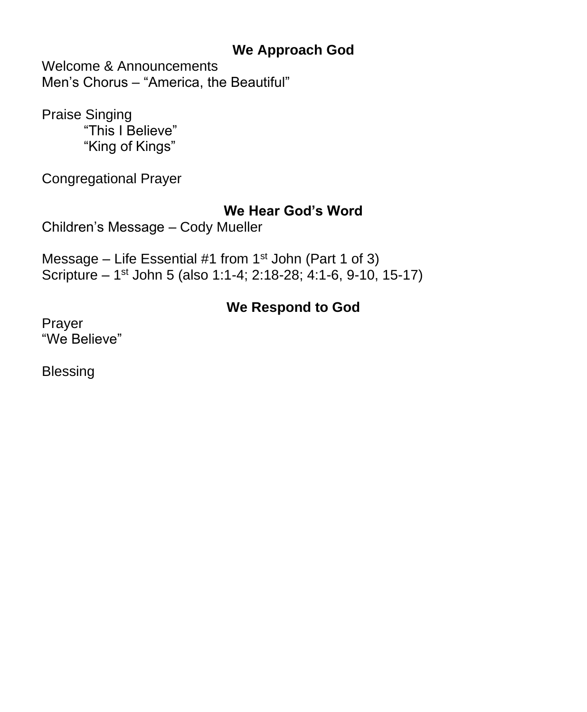### **We Approach God**

Welcome & Announcements Men's Chorus – "America, the Beautiful"

Praise Singing "This I Believe" "King of Kings"

Congregational Prayer

#### **We Hear God's Word**

Children's Message – Cody Mueller

Message – Life Essential #1 from  $1<sup>st</sup>$  John (Part 1 of 3) Scripture – 1<sup>st</sup> John 5 (also 1:1-4; 2:18-28; 4:1-6, 9-10, 15-17)

## **We Respond to God**

Prayer "We Believe"

Blessing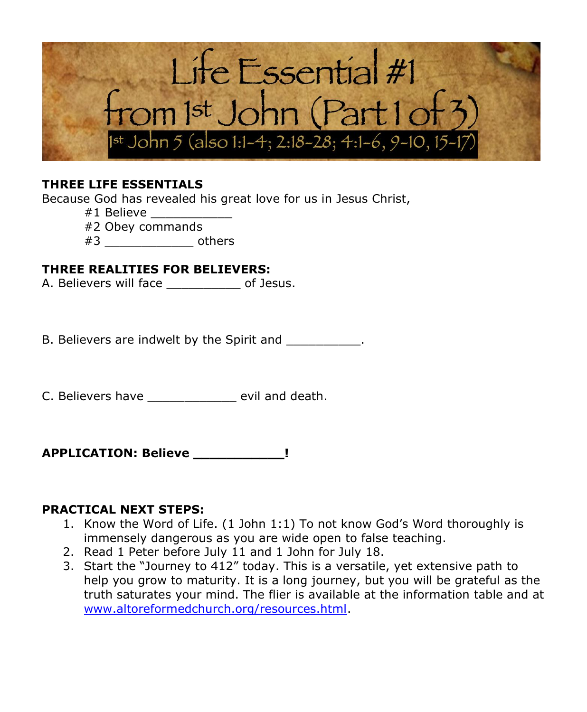

#### **THREE LIFE ESSENTIALS**

Because God has revealed his great love for us in Jesus Christ,

- #1 Believe \_\_\_\_\_\_\_\_\_\_\_
- #2 Obey commands
- $#3$  others

#### **THREE REALITIES FOR BELIEVERS:**

A. Believers will face \_\_\_\_\_\_\_\_\_\_ of Jesus.

B. Believers are indwelt by the Spirit and  $\qquad \qquad$ .

C. Believers have \_\_\_\_\_\_\_\_\_\_\_\_ evil and death.

**APPLICATION: Believe \_\_\_\_\_\_\_\_\_\_\_!**

#### **PRACTICAL NEXT STEPS:**

- 1. Know the Word of Life. (1 John 1:1) To not know God's Word thoroughly is immensely dangerous as you are wide open to false teaching.
- 2. Read 1 Peter before July 11 and 1 John for July 18.
- 3. Start the "Journey to 412" today. This is a versatile, yet extensive path to help you grow to maturity. It is a long journey, but you will be grateful as the truth saturates your mind. The flier is available at the information table and at [www.altoreformedchurch.org/resources.html.](https://na01.safelinks.protection.outlook.com/?url=http%3A%2F%2Fwww.altoreformedchurch.org%2Fresources.html&data=04%7C01%7C%7Ce62d950898b54e10e3be08d93d6da337%7C84df9e7fe9f640afb435aaaaaaaaaaaa%7C1%7C0%7C637608363434728231%7CUnknown%7CTWFpbGZsb3d8eyJWIjoiMC4wLjAwMDAiLCJQIjoiV2luMzIiLCJBTiI6Ik1haWwiLCJXVCI6Mn0%3D%7C1000&sdata=FFyttJMPlrN5IaOeY0qvrOYj7ijdTiJjG%2BSYiNPKUOE%3D&reserved=0)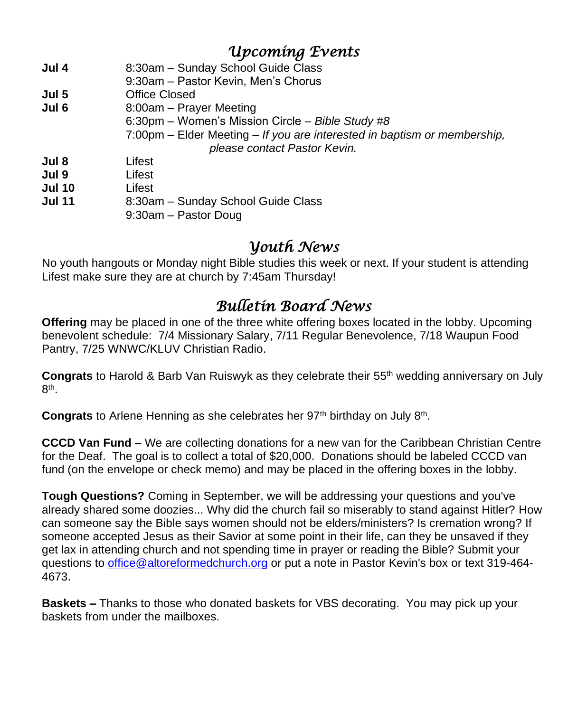### *Upcoming Events*

| Jul 4         | 8:30am - Sunday School Guide Class                                       |
|---------------|--------------------------------------------------------------------------|
|               | 9:30am - Pastor Kevin, Men's Chorus                                      |
| Jul 5         | Office Closed                                                            |
| Jul 6         | 8:00am - Prayer Meeting                                                  |
|               | 6:30pm - Women's Mission Circle - Bible Study #8                         |
|               | 7:00pm – Elder Meeting – If you are interested in baptism or membership, |
|               | please contact Pastor Kevin.                                             |
| Jul 8         | Lifest                                                                   |
| Jul 9         | Lifest                                                                   |
| <b>Jul 10</b> | Lifest                                                                   |
| <b>Jul 11</b> | 8:30am - Sunday School Guide Class                                       |
|               | 9:30am - Pastor Doug                                                     |

### *Youth News*

No youth hangouts or Monday night Bible studies this week or next. If your student is attending Lifest make sure they are at church by 7:45am Thursday!

# *Bulletin Board News*

**Offering** may be placed in one of the three white offering boxes located in the lobby. Upcoming benevolent schedule: 7/4 Missionary Salary, 7/11 Regular Benevolence, 7/18 Waupun Food Pantry, 7/25 WNWC/KLUV Christian Radio.

**Congrats** to Harold & Barb Van Ruiswyk as they celebrate their 55th wedding anniversary on July 8<sup>th</sup>.

Congrats to Arlene Henning as she celebrates her 97<sup>th</sup> birthday on July 8<sup>th</sup>.

**CCCD Van Fund –** We are collecting donations for a new van for the Caribbean Christian Centre for the Deaf. The goal is to collect a total of \$20,000. Donations should be labeled CCCD van fund (on the envelope or check memo) and may be placed in the offering boxes in the lobby.

**Tough Questions?** Coming in September, we will be addressing your questions and you've already shared some doozies... Why did the church fail so miserably to stand against Hitler? How can someone say the Bible says women should not be elders/ministers? Is cremation wrong? If someone accepted Jesus as their Savior at some point in their life, can they be unsaved if they get lax in attending church and not spending time in prayer or reading the Bible? Submit your questions to [office@altoreformedchurch.org](mailto:office@altoreformedchurch.org) or put a note in Pastor Kevin's box or text 319-464- 4673.

**Baskets –** Thanks to those who donated baskets for VBS decorating. You may pick up your baskets from under the mailboxes.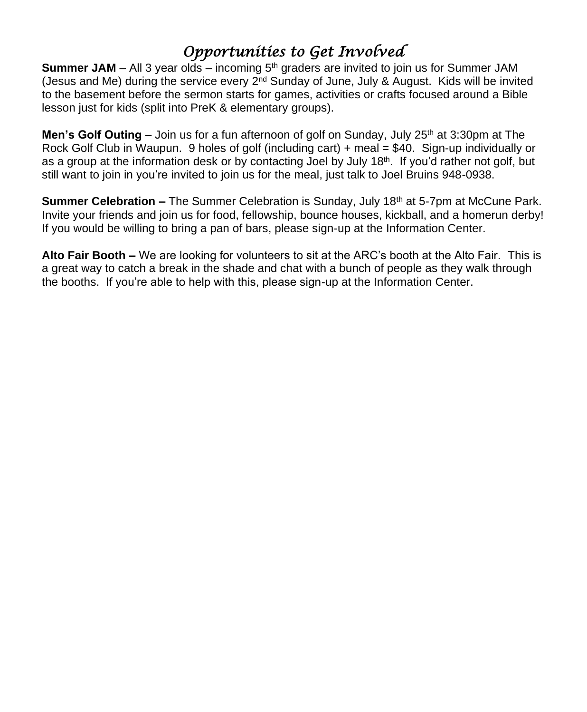# *Opportunities to Get Involved*

**Summer JAM** – All 3 year olds – incoming 5<sup>th</sup> graders are invited to join us for Summer JAM (Jesus and Me) during the service every 2<sup>nd</sup> Sunday of June, July & August. Kids will be invited to the basement before the sermon starts for games, activities or crafts focused around a Bible lesson just for kids (split into PreK & elementary groups).

**Men's Golf Outing –** Join us for a fun afternoon of golf on Sunday, July 25<sup>th</sup> at 3:30pm at The Rock Golf Club in Waupun. 9 holes of golf (including cart) + meal = \$40. Sign-up individually or as a group at the information desk or by contacting Joel by July 18<sup>th</sup>. If you'd rather not golf, but still want to join in you're invited to join us for the meal, just talk to Joel Bruins 948-0938.

**Summer Celebration –** The Summer Celebration is Sunday, July 18<sup>th</sup> at 5-7pm at McCune Park. Invite your friends and join us for food, fellowship, bounce houses, kickball, and a homerun derby! If you would be willing to bring a pan of bars, please sign-up at the Information Center.

**Alto Fair Booth –** We are looking for volunteers to sit at the ARC's booth at the Alto Fair. This is a great way to catch a break in the shade and chat with a bunch of people as they walk through the booths. If you're able to help with this, please sign-up at the Information Center.